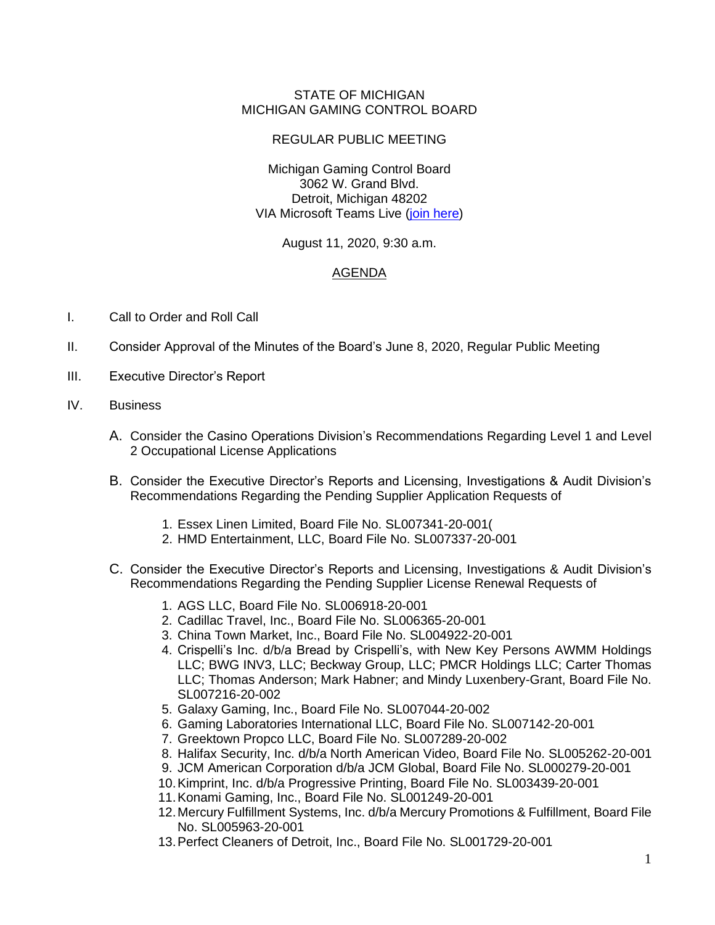## STATE OF MICHIGAN MICHIGAN GAMING CONTROL BOARD

## REGULAR PUBLIC MEETING

Michigan Gaming Control Board 3062 W. Grand Blvd. Detroit, Michigan 48202 VIA Microsoft Teams Live [\(join here\)](https://teams.microsoft.com/l/meetup-join/19%3ameeting_MDViMzQ5ZmYtZjZjYi00YjUyLWE0Y2UtZWZjNzlkMmVjODE2%40thread.v2/0?context=%7b%22Tid%22%3a%22d5fb7087-3777-42ad-966a-892ef47225d1%22%2c%22Oid%22%3a%227fdb628b-18f8-4f9d-b65f-202908c27d2d%22%2c%22IsBroadcastMeeting%22%3atrue%7d)

August 11, 2020, 9:30 a.m.

## AGENDA

- I. Call to Order and Roll Call
- II. Consider Approval of the Minutes of the Board's June 8, 2020, Regular Public Meeting
- III. Executive Director's Report
- IV. Business
	- A. Consider the Casino Operations Division's Recommendations Regarding Level 1 and Level 2 Occupational License Applications
	- B. Consider the Executive Director's Reports and Licensing, Investigations & Audit Division's Recommendations Regarding the Pending Supplier Application Requests of
		- 1. Essex Linen Limited, Board File No. SL007341-20-001(
		- 2. HMD Entertainment, LLC, Board File No. SL007337-20-001
	- C. Consider the Executive Director's Reports and Licensing, Investigations & Audit Division's Recommendations Regarding the Pending Supplier License Renewal Requests of
		- 1. AGS LLC, Board File No. SL006918-20-001
		- 2. Cadillac Travel, Inc., Board File No. SL006365-20-001
		- 3. China Town Market, Inc., Board File No. SL004922-20-001
		- 4. Crispelli's Inc. d/b/a Bread by Crispelli's, with New Key Persons AWMM Holdings LLC; BWG INV3, LLC; Beckway Group, LLC; PMCR Holdings LLC; Carter Thomas LLC; Thomas Anderson; Mark Habner; and Mindy Luxenbery-Grant, Board File No. SL007216-20-002
		- 5. Galaxy Gaming, Inc., Board File No. SL007044-20-002
		- 6. Gaming Laboratories International LLC, Board File No. SL007142-20-001
		- 7. Greektown Propco LLC, Board File No. SL007289-20-002
		- 8. Halifax Security, Inc. d/b/a North American Video, Board File No. SL005262-20-001
		- 9. JCM American Corporation d/b/a JCM Global, Board File No. SL000279-20-001
		- 10.Kimprint, Inc. d/b/a Progressive Printing, Board File No. SL003439-20-001
		- 11.Konami Gaming, Inc., Board File No. SL001249-20-001
		- 12.Mercury Fulfillment Systems, Inc. d/b/a Mercury Promotions & Fulfillment, Board File No. SL005963-20-001
		- 13.Perfect Cleaners of Detroit, Inc., Board File No. SL001729-20-001